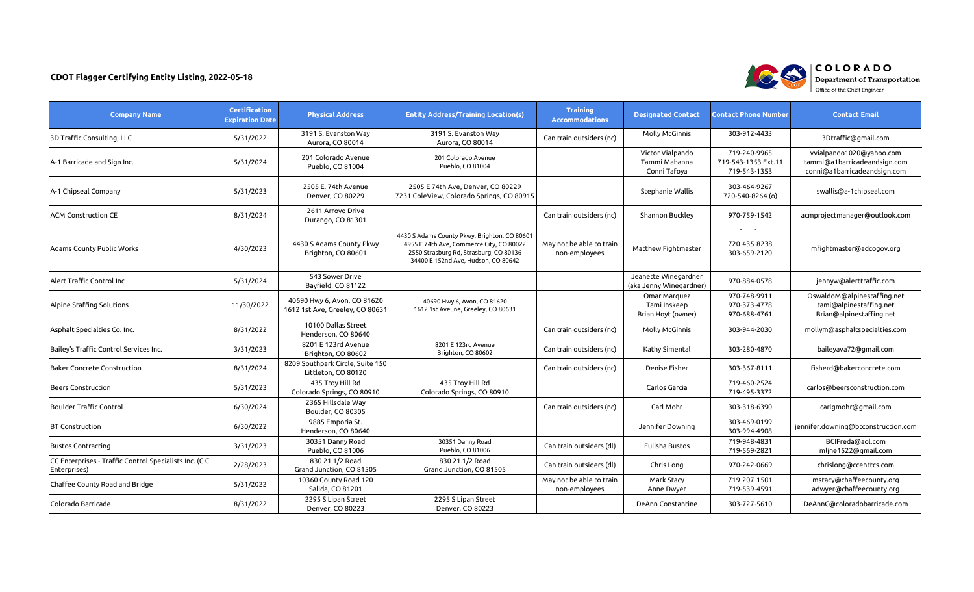| <b>Company Name</b>                                                   | <b>Certification</b><br><b>Expiration Date</b> | <b>Physical Address</b>                                        | <b>Entity Address/Training Location(s)</b>                                                                                                                                | <b>Training</b><br><b>Accommodations</b>  | <b>Designated Contact</b>                          | <b>Contact Phone Number</b>                                  | <b>Contact Email</b>                                                                     |
|-----------------------------------------------------------------------|------------------------------------------------|----------------------------------------------------------------|---------------------------------------------------------------------------------------------------------------------------------------------------------------------------|-------------------------------------------|----------------------------------------------------|--------------------------------------------------------------|------------------------------------------------------------------------------------------|
| 3D Traffic Consulting, LLC                                            | 5/31/2022                                      | 3191 S. Evanston Way<br>Aurora, CO 80014                       | 3191 S. Evanston Way<br>Aurora, CO 80014                                                                                                                                  | Can train outsiders (nc)                  | <b>Molly McGinnis</b>                              | 303-912-4433                                                 | 3Dtraffic@gmail.com                                                                      |
| A-1 Barricade and Sign Inc.                                           | 5/31/2024                                      | 201 Colorado Avenue<br>Pueblo, CO 81004                        | 201 Colorado Avenue<br>Pueblo, CO 81004                                                                                                                                   |                                           | Victor Vialpando<br>Tammi Mahanna<br>Conni Tafoya  | 719-240-9965<br>719-543-1353 Ext.11<br>719-543-1353          | vvialpando1020@yahoo.com<br>tammi@a1barricadeandsign.com<br>conni@a1barricadeandsign.com |
| A-1 Chipseal Company                                                  | 5/31/2023                                      | 2505 E. 74th Avenue<br>Denver, CO 80229                        | 2505 E 74th Ave, Denver, CO 80229<br>7231 ColeView, Colorado Springs, CO 80915                                                                                            |                                           | Stephanie Wallis                                   | 303-464-9267<br>720-540-8264 (o)                             | swallis@a-1chipseal.com                                                                  |
| IACM Construction CE                                                  | 8/31/2024                                      | 2611 Arroyo Drive<br>Durango, CO 81301                         |                                                                                                                                                                           | Can train outsiders (nc)                  | Shannon Buckley                                    | 970-759-1542                                                 | acmprojectmanager@outlook.com                                                            |
| Adams County Public Works                                             | 4/30/2023                                      | 4430 S Adams County Pkwy<br>Brighton, CO 80601                 | 4430 S Adams County Pkwy, Brighton, CO 80601<br>4955 E 74th Ave, Commerce City, CO 80022<br>2550 Strasburg Rd, Strasburg, CO 80136<br>34400 E 152nd Ave, Hudson, CO 80642 | May not be able to train<br>non-employees | Matthew Fightmaster                                | $\sim$ 100 $\sim$ 100 $\sim$<br>720 435 8238<br>303-659-2120 | mfightmaster@adcogov.org                                                                 |
| Alert Traffic Control Inc                                             | 5/31/2024                                      | 543 Sower Drive<br>Bayfield, CO 81122                          |                                                                                                                                                                           |                                           | Jeanette Winegardner<br>(aka Jenny Winegardner)    | 970-884-0578                                                 | jennyw@alerttraffic.com                                                                  |
| Alpine Staffing Solutions                                             | 11/30/2022                                     | 40690 Hwy 6, Avon, CO 81620<br>1612 1st Ave, Greeley, CO 80631 | 40690 Hwy 6, Avon, CO 81620<br>1612 1st Aveune, Greeley, CO 80631                                                                                                         |                                           | Omar Marquez<br>Tami Inskeep<br>Brian Hoyt (owner) | 970-748-9911<br>970-373-4778<br>970-688-4761                 | OswaldoM@alpinestaffing.net<br>tami@alpinestaffing.net<br>Brian@alpinestaffing.net       |
| Asphalt Specialties Co. Inc.                                          | 8/31/2022                                      | 10100 Dallas Street<br>Henderson, CO 80640                     |                                                                                                                                                                           | Can train outsiders (nc)                  | <b>Molly McGinnis</b>                              | 303-944-2030                                                 | mollym@asphaltspecialties.com                                                            |
| Bailey's Traffic Control Services Inc.                                | 3/31/2023                                      | 8201 E 123rd Avenue<br>Brighton, CO 80602                      | 8201 E 123rd Avenue<br>Brighton, CO 80602                                                                                                                                 | Can train outsiders (nc)                  | Kathy Simental                                     | 303-280-4870                                                 | baileyava72@gmail.com                                                                    |
| <b>Baker Concrete Construction</b>                                    | 8/31/2024                                      | 8209 Southpark Circle, Suite 150<br>Littleton, CO 80120        |                                                                                                                                                                           | Can train outsiders (nc)                  | Denise Fisher                                      | 303-367-8111                                                 | fisherd@bakerconcrete.com                                                                |
| Beers Construction                                                    | 5/31/2023                                      | 435 Troy Hill Rd<br>Colorado Springs, CO 80910                 | 435 Troy Hill Rd<br>Colorado Springs, CO 80910                                                                                                                            |                                           | Carlos Garcia                                      | 719-460-2524<br>719-495-3372                                 | carlos@beersconstruction.com                                                             |
| <b>Boulder Traffic Control</b>                                        | 6/30/2024                                      | 2365 Hillsdale Way<br>Boulder, CO 80305                        |                                                                                                                                                                           | Can train outsiders (nc)                  | Carl Mohr                                          | 303-318-6390                                                 | carlgmohr@gmail.com                                                                      |
| <b>BT Construction</b>                                                | 6/30/2022                                      | 9885 Emporia St.<br>Henderson, CO 80640                        |                                                                                                                                                                           |                                           | Jennifer Downing                                   | 303-469-0199<br>303-994-4908                                 | jennifer.downing@btconstruction.com                                                      |
| <b>Bustos Contracting</b>                                             | 3/31/2023                                      | 30351 Danny Road<br>Pueblo, CO 81006                           | 30351 Danny Road<br>Pueblo, CO 81006                                                                                                                                      | Can train outsiders (dl)                  | Eulisha Bustos                                     | 719-948-4831<br>719-569-2821                                 | BCIFreda@aol.com<br>mljne1522@gmail.com                                                  |
| CC Enterprises - Traffic Control Specialists Inc. (CC<br>Enterprises) | 2/28/2023                                      | 830 21 1/2 Road<br>Grand Junction, CO 81505                    | 830 21 1/2 Road<br>Grand Junction, CO 81505                                                                                                                               | Can train outsiders (dl)                  | Chris Long                                         | 970-242-0669                                                 | chrislong@ccenttcs.com                                                                   |
| Chaffee County Road and Bridge                                        | 5/31/2022                                      | 10360 County Road 120<br>Salida, CO 81201                      |                                                                                                                                                                           | May not be able to train<br>non-employees | Mark Stacy<br>Anne Dwyer                           | 719 207 1501<br>719-539-4591                                 | mstacy@chaffeecounty.org<br>adwyer@chaffeecounty.org                                     |
| Colorado Barricade                                                    | 8/31/2022                                      | 2295 S Lipan Street<br>Denver, CO 80223                        | 2295 S Lipan Street<br>Denver, CO 80223                                                                                                                                   |                                           | DeAnn Constantine                                  | 303-727-5610                                                 | DeAnnC@coloradobarricade.com                                                             |

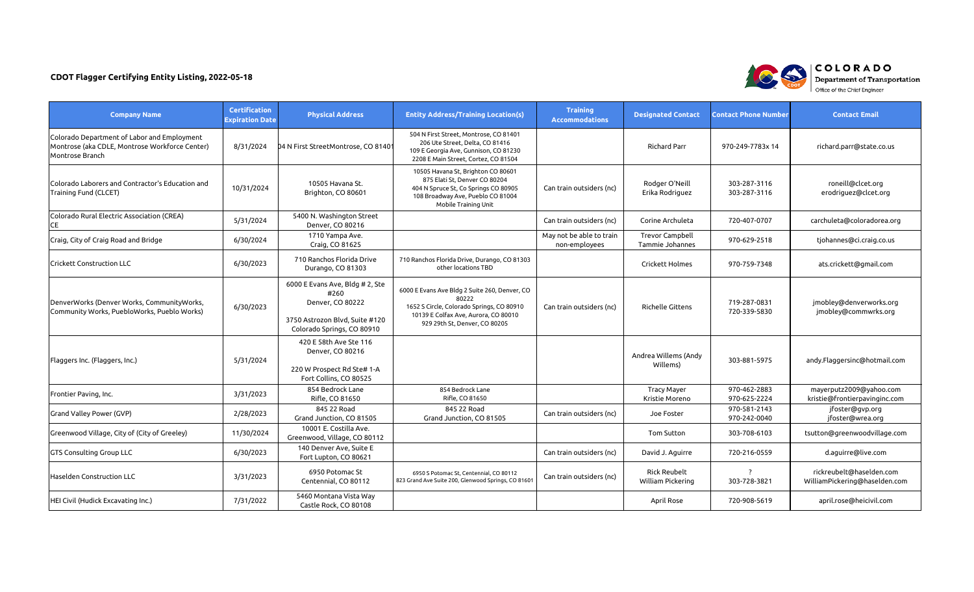| <b>Company Name</b>                                                                                              | <b>Certification</b><br><b>Expiration Date</b> | <b>Physical Address</b>                                                                                                     | <b>Entity Address/Training Location(s)</b>                                                                                                                                   | <b>Training</b><br><b>Accommodations</b>  | <b>Designated Contact</b>                 | <b>Contact Phone Number</b>  | <b>Contact Email</b>                                      |
|------------------------------------------------------------------------------------------------------------------|------------------------------------------------|-----------------------------------------------------------------------------------------------------------------------------|------------------------------------------------------------------------------------------------------------------------------------------------------------------------------|-------------------------------------------|-------------------------------------------|------------------------------|-----------------------------------------------------------|
| Colorado Department of Labor and Employment<br>Montrose (aka CDLE, Montrose Workforce Center)<br>Montrose Branch | 8/31/2024                                      | 04 N First StreetMontrose, CO 81401                                                                                         | 504 N First Street, Montrose, CO 81401<br>206 Ute Street, Delta, CO 81416<br>109 E Georgia Ave, Gunnison, CO 81230<br>2208 E Main Street, Cortez, CO 81504                   |                                           | <b>Richard Parr</b>                       | 970-249-7783x 14             | richard.parr@state.co.us                                  |
| Colorado Laborers and Contractor's Education and<br>Training Fund (CLCET)                                        | 10/31/2024                                     | 10505 Havana St.<br>Brighton, CO 80601                                                                                      | 10505 Havana St, Brighton CO 80601<br>875 Elati St, Denver CO 80204<br>404 N Spruce St, Co Springs CO 80905<br>108 Broadway Ave, Pueblo CO 81004<br>Mobile Training Unit     | Can train outsiders (nc)                  | Rodger O'Neill<br>Erika Rodriguez         | 303-287-3116<br>303-287-3116 | roneill@clcet.org<br>erodriguez@clcet.org                 |
| Colorado Rural Electric Association (CREA)<br><b>CE</b>                                                          | 5/31/2024                                      | 5400 N. Washington Street<br>Denver, CO 80216                                                                               |                                                                                                                                                                              | Can train outsiders (nc)                  | Corine Archuleta                          | 720-407-0707                 | carchuleta@coloradorea.org                                |
| Craig, City of Craig Road and Bridge                                                                             | 6/30/2024                                      | 1710 Yampa Ave.<br>Craig, CO 81625                                                                                          |                                                                                                                                                                              | May not be able to train<br>non-employees | <b>Trevor Campbell</b><br>Tammie Johannes | 970-629-2518                 | tjohannes@ci.craig.co.us                                  |
| <b>Crickett Construction LLC</b>                                                                                 | 6/30/2023                                      | 710 Ranchos Florida Drive<br>Durango, CO 81303                                                                              | 710 Ranchos Florida Drive, Durango, CO 81303<br>other locations TBD                                                                                                          |                                           | Crickett Holmes                           | 970-759-7348                 | ats.crickett@gmail.com                                    |
| DenverWorks (Denver Works, CommunityWorks,<br>Community Works, PuebloWorks, Pueblo Works)                        | 6/30/2023                                      | 6000 E Evans Ave, Bldg # 2, Ste<br>#260<br>Denver, CO 80222<br>3750 Astrozon Blvd, Suite #120<br>Colorado Springs, CO 80910 | 6000 E Evans Ave Bldg 2 Suite 260, Denver, CO<br>80222<br>1652 S Circle, Colorado Springs, CO 80910<br>10139 E Colfax Ave, Aurora, CO 80010<br>929 29th St, Denver, CO 80205 | Can train outsiders (nc)                  | Richelle Gittens                          | 719-287-0831<br>720-339-5830 | jmobley@denverworks.org<br>jmobley@commwrks.org           |
| Flaggers Inc. (Flaggers, Inc.)                                                                                   | 5/31/2024                                      | 420 E 58th Ave Ste 116<br>Denver, CO 80216<br>220 W Prospect Rd Ste# 1-A<br>Fort Collins, CO 80525                          |                                                                                                                                                                              |                                           | Andrea Willems (Andy<br>Willems)          | 303-881-5975                 | andy.Flaggersinc@hotmail.com                              |
| Frontier Paving, Inc.                                                                                            | 3/31/2023                                      | 854 Bedrock Lane<br>Rifle, CO 81650                                                                                         | 854 Bedrock Lane<br>Rifle, CO 81650                                                                                                                                          |                                           | <b>Tracy Mayer</b><br>Kristie Moreno      | 970-462-2883<br>970-625-2224 | mayerputz2009@yahoo.com<br>kristie@frontierpavinginc.com  |
| Grand Valley Power (GVP)                                                                                         | 2/28/2023                                      | 845 22 Road<br>Grand Junction, CO 81505                                                                                     | 845 22 Road<br>Grand Junction, CO 81505                                                                                                                                      | Can train outsiders (nc)                  | Joe Foster                                | 970-581-2143<br>970-242-0040 | jfoster@gvp.org<br>jfoster@wrea.org                       |
| Greenwood Village, City of (City of Greeley)                                                                     | 11/30/2024                                     | 10001 E. Costilla Ave.<br>Greenwood, Village, CO 80112                                                                      |                                                                                                                                                                              |                                           | Tom Sutton                                | 303-708-6103                 | tsutton@greenwoodvillage.com                              |
| <b>GTS Consulting Group LLC</b>                                                                                  | 6/30/2023                                      | 140 Denver Ave, Suite E<br>Fort Lupton, CO 80621                                                                            |                                                                                                                                                                              | Can train outsiders (nc)                  | David J. Aguirre                          | 720-216-0559                 | d.aguirre@live.com                                        |
| Haselden Construction LLC                                                                                        | 3/31/2023                                      | 6950 Potomac St<br>Centennial, CO 80112                                                                                     | 6950 S Potomac St, Centennial, CO 80112<br>823 Grand Ave Suite 200, Glenwood Springs, CO 81601                                                                               | Can train outsiders (nc)                  | <b>Rick Reubelt</b><br>William Pickering  | 303-728-3821                 | rickreubelt@haselden.com<br>WilliamPickering@haselden.com |
| HEI Civil (Hudick Excavating Inc.)                                                                               | 7/31/2022                                      | 5460 Montana Vista Way<br>Castle Rock, CO 80108                                                                             |                                                                                                                                                                              |                                           | April Rose                                | 720-908-5619                 | april.rose@heicivil.com                                   |

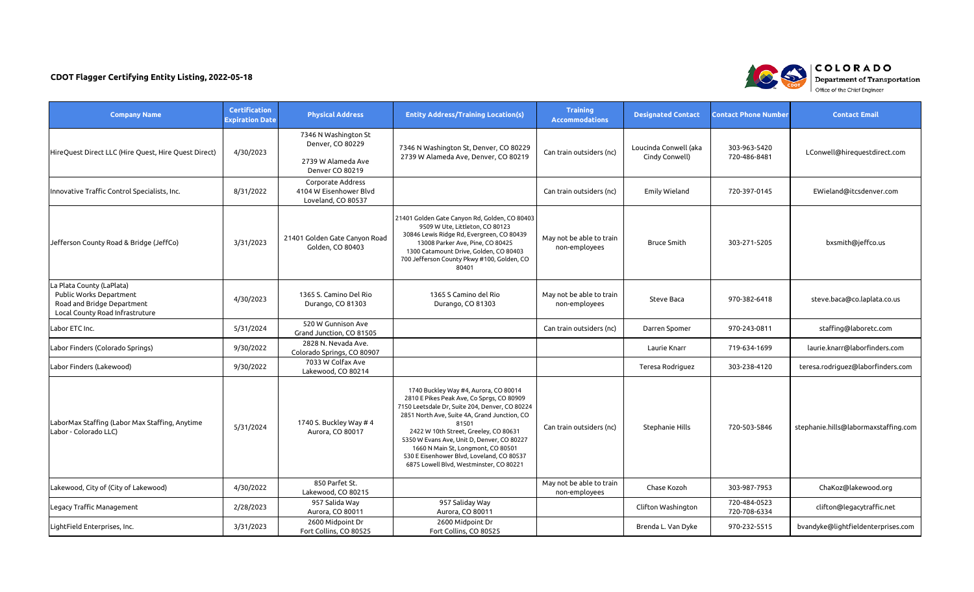| <b>Company Name</b>                                                                                                   | <b>Certification</b><br><b>Expiration Date</b> | <b>Physical Address</b>                                                           | <b>Entity Address/Training Location(s)</b>                                                                                                                                                                                                                                                                                                                                                                         | <b>Training</b><br><b>Accommodations</b>  | <b>Designated Contact</b>               | <b>Contact Phone Number</b>  | <b>Contact Email</b>                 |
|-----------------------------------------------------------------------------------------------------------------------|------------------------------------------------|-----------------------------------------------------------------------------------|--------------------------------------------------------------------------------------------------------------------------------------------------------------------------------------------------------------------------------------------------------------------------------------------------------------------------------------------------------------------------------------------------------------------|-------------------------------------------|-----------------------------------------|------------------------------|--------------------------------------|
| HireQuest Direct LLC (Hire Quest, Hire Quest Direct)                                                                  | 4/30/2023                                      | 7346 N Washington St<br>Denver, CO 80229<br>2739 W Alameda Ave<br>Denver CO 80219 | 7346 N Washington St, Denver, CO 80229<br>2739 W Alameda Ave, Denver, CO 80219                                                                                                                                                                                                                                                                                                                                     | Can train outsiders (nc)                  | Loucinda Conwell (aka<br>Cindy Conwell) | 303-963-5420<br>720-486-8481 | LConwell@hirequestdirect.com         |
| Innovative Traffic Control Specialists, Inc.                                                                          | 8/31/2022                                      | Corporate Address<br>4104 W Eisenhower Blvd<br>Loveland, CO 80537                 |                                                                                                                                                                                                                                                                                                                                                                                                                    | Can train outsiders (nc)                  | Emily Wieland                           | 720-397-0145                 | EWieland@itcsdenver.com              |
| Jefferson County Road & Bridge (JeffCo)                                                                               | 3/31/2023                                      | 21401 Golden Gate Canyon Road<br>Golden, CO 80403                                 | 21401 Golden Gate Canyon Rd, Golden, CO 80403<br>9509 W Ute, Littleton, CO 80123<br>30846 Lewis Ridge Rd, Evergreen, CO 80439<br>13008 Parker Ave, Pine, CO 80425<br>1300 Catamount Drive, Golden, CO 80403<br>700 Jefferson County Pkwy #100, Golden, CO<br>80401                                                                                                                                                 | May not be able to train<br>non-employees | <b>Bruce Smith</b>                      | 303-271-5205                 | bxsmith@jeffco.us                    |
| La Plata County (LaPlata)<br>Public Works Department<br>Road and Bridge Department<br>Local County Road Infrastruture | 4/30/2023                                      | 1365 S. Camino Del Rio<br>Durango, CO 81303                                       | 1365 S Camino del Rio<br>Durango, CO 81303                                                                                                                                                                                                                                                                                                                                                                         | May not be able to train<br>non-employees | Steve Baca                              | 970-382-6418                 | steve.baca@co.laplata.co.us          |
| Labor ETC Inc.                                                                                                        | 5/31/2024                                      | 520 W Gunnison Ave<br>Grand Junction, CO 81505                                    |                                                                                                                                                                                                                                                                                                                                                                                                                    | Can train outsiders (nc)                  | Darren Spomer                           | 970-243-0811                 | staffing@laboretc.com                |
| Labor Finders (Colorado Springs)                                                                                      | 9/30/2022                                      | 2828 N. Nevada Ave.<br>Colorado Springs, CO 80907                                 |                                                                                                                                                                                                                                                                                                                                                                                                                    |                                           | Laurie Knarr                            | 719-634-1699                 | laurie.knarr@laborfinders.com        |
| Labor Finders (Lakewood)                                                                                              | 9/30/2022                                      | 7033 W Colfax Ave<br>Lakewood, CO 80214                                           |                                                                                                                                                                                                                                                                                                                                                                                                                    |                                           | Teresa Rodriguez                        | 303-238-4120                 | teresa.rodriguez@laborfinders.com    |
| LaborMax Staffing (Labor Max Staffing, Anytime<br>Labor - Colorado LLC)                                               | 5/31/2024                                      | 1740 S. Buckley Way # 4<br>Aurora, CO 80017                                       | 1740 Buckley Way #4, Aurora, CO 80014<br>2810 E Pikes Peak Ave, Co Sprgs, CO 80909<br>7150 Leetsdale Dr, Suite 204, Denver, CO 80224<br>2851 North Ave, Suite 4A, Grand Junction, CO<br>81501<br>2422 W 10th Street, Greeley, CO 80631<br>5350 W Evans Ave, Unit D, Denver, CO 80227<br>1660 N Main St, Longmont, CO 80501<br>530 E Eisenhower Blvd, Loveland, CO 80537<br>6875 Lowell Blvd, Westminster, CO 80221 | Can train outsiders (nc)                  | Stephanie Hills                         | 720-503-5846                 | stephanie.hills@labormaxstaffing.com |
| Lakewood, City of (City of Lakewood)                                                                                  | 4/30/2022                                      | 850 Parfet St.<br>Lakewood, CO 80215                                              |                                                                                                                                                                                                                                                                                                                                                                                                                    | May not be able to train<br>non-employees | Chase Kozoh                             | 303-987-7953                 | ChaKoz@lakewood.org                  |
| Legacy Traffic Management                                                                                             | 2/28/2023                                      | 957 Salida Way<br>Aurora, CO 80011                                                | 957 Saliday Way<br>Aurora, CO 80011                                                                                                                                                                                                                                                                                                                                                                                |                                           | Clifton Washington                      | 720-484-0523<br>720-708-6334 | clifton@legacytraffic.net            |
| LightField Enterprises, Inc.                                                                                          | 3/31/2023                                      | 2600 Midpoint Dr<br>Fort Collins, CO 80525                                        | 2600 Midpoint Dr<br>Fort Collins, CO 80525                                                                                                                                                                                                                                                                                                                                                                         |                                           | Brenda L. Van Dyke                      | 970-232-5515                 | bvandyke@lightfieldenterprises.com   |

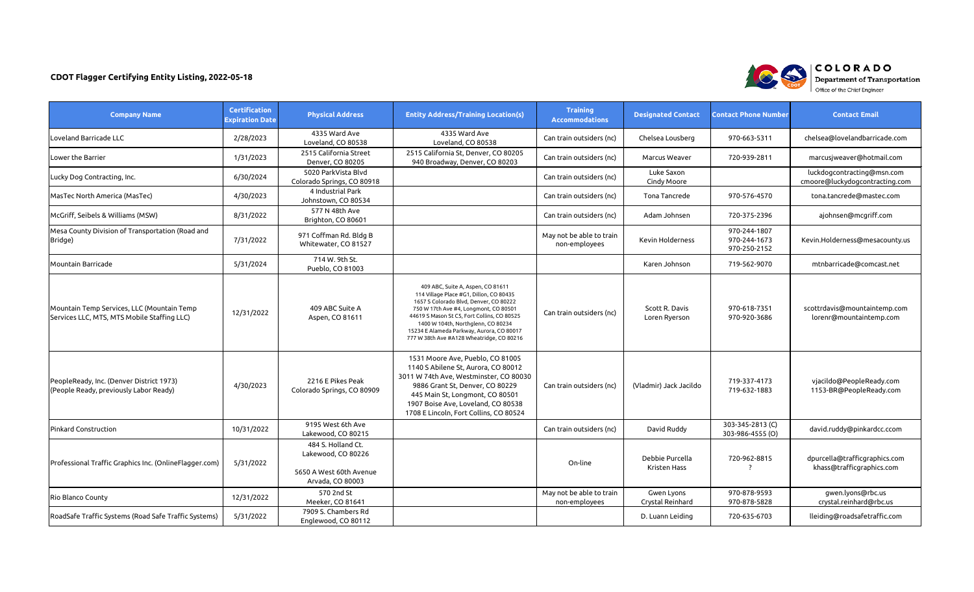| <b>Company Name</b>                                                                       | <b>Certification</b><br><b>Expiration Date</b> | <b>Physical Address</b>                                                                 | <b>Entity Address/Training Location(s)</b>                                                                                                                                                                                                                                                                                                     | <b>Training</b><br><b>Accommodations</b>  | <b>Designated Contact</b>       | <b>Contact Phone Number</b>                  | <b>Contact Email</b>                                         |
|-------------------------------------------------------------------------------------------|------------------------------------------------|-----------------------------------------------------------------------------------------|------------------------------------------------------------------------------------------------------------------------------------------------------------------------------------------------------------------------------------------------------------------------------------------------------------------------------------------------|-------------------------------------------|---------------------------------|----------------------------------------------|--------------------------------------------------------------|
| Loveland Barricade LLC                                                                    | 2/28/2023                                      | 4335 Ward Ave<br>Loveland, CO 80538                                                     | 4335 Ward Ave<br>Loveland, CO 80538                                                                                                                                                                                                                                                                                                            | Can train outsiders (nc)                  | Chelsea Lousberg                | 970-663-5311                                 | chelsea@lovelandbarricade.com                                |
| Lower the Barrier                                                                         | 1/31/2023                                      | 2515 California Street<br>Denver, CO 80205                                              | 2515 California St, Denver, CO 80205<br>940 Broadway, Denver, CO 80203                                                                                                                                                                                                                                                                         | Can train outsiders (nc)                  | Marcus Weaver                   | 720-939-2811                                 | marcusjweaver@hotmail.com                                    |
| Lucky Dog Contracting, Inc.                                                               | 6/30/2024                                      | 5020 ParkVista Blvd<br>Colorado Springs, CO 80918                                       |                                                                                                                                                                                                                                                                                                                                                | Can train outsiders (nc)                  | Luke Saxon<br>Cindy Moore       |                                              | luckdogcontracting@msn.com<br>cmoore@luckydogcontracting.com |
| MasTec North America (MasTec)                                                             | 4/30/2023                                      | 4 Industrial Park<br>Johnstown, CO 80534                                                |                                                                                                                                                                                                                                                                                                                                                | Can train outsiders (nc)                  | Tona Tancrede                   | 970-576-4570                                 | tona.tancrede@mastec.com                                     |
| McGriff, Seibels & Williams (MSW)                                                         | 8/31/2022                                      | 577 N 48th Ave<br>Brighton, CO 80601                                                    |                                                                                                                                                                                                                                                                                                                                                | Can train outsiders (nc)                  | Adam Johnsen                    | 720-375-2396                                 | ajohnsen@mcgriff.com                                         |
| Mesa County Division of Transportation (Road and<br>Bridge)                               | 7/31/2022                                      | 971 Coffman Rd. Bldg B<br>Whitewater, CO 81527                                          |                                                                                                                                                                                                                                                                                                                                                | May not be able to train<br>non-employees | <b>Kevin Holderness</b>         | 970-244-1807<br>970-244-1673<br>970-250-2152 | Kevin.Holderness@mesacounty.us                               |
| Mountain Barricade                                                                        | 5/31/2024                                      | 714 W. 9th St.<br>Pueblo, CO 81003                                                      |                                                                                                                                                                                                                                                                                                                                                |                                           | Karen Johnson                   | 719-562-9070                                 | mtnbarricade@comcast.net                                     |
| Mountain Temp Services, LLC (Mountain Temp<br>Services LLC, MTS, MTS Mobile Staffing LLC) | 12/31/2022                                     | 409 ABC Suite A<br>Aspen, CO 81611                                                      | 409 ABC, Suite A, Aspen, CO 81611<br>114 Village Place #G1, Dillon, CO 80435<br>1657 S Colorado Blvd, Denver, CO 80222<br>750 W 17th Ave #4, Longmont, CO 80501<br>44619 S Mason St C5, Fort Collins, CO 80525<br>1400 W 104th, Northglenn, CO 80234<br>15234 E Alameda Parkway, Aurora, CO 80017<br>777 W 38th Ave #A128 Wheatridge, CO 80216 | Can train outsiders (nc)                  | Scott R. Davis<br>Loren Ryerson | 970-618-7351<br>970-920-3686                 | scottrdavis@mountaintemp.com<br>lorenr@mountaintemp.com      |
| PeopleReady, Inc. (Denver District 1973)<br>(People Ready, previously Labor Ready)        | 4/30/2023                                      | 2216 E Pikes Peak<br>Colorado Springs, CO 80909                                         | 1531 Moore Ave, Pueblo, CO 81005<br>1140 S Abilene St, Aurora, CO 80012<br>3011 W 74th Ave, Westminster, CO 80030<br>9886 Grant St, Denver, CO 80229<br>445 Main St, Longmont, CO 80501<br>1907 Boise Ave, Loveland, CO 80538<br>1708 E Lincoln, Fort Collins, CO 80524                                                                        | Can train outsiders (nc)                  | (Vladmir) Jack Jacildo          | 719-337-4173<br>719-632-1883                 | vjacildo@PeopleReady.com<br>1153-BR@PeopleReady.com          |
| <b>Pinkard Construction</b>                                                               | 10/31/2022                                     | 9195 West 6th Ave<br>Lakewood, CO 80215                                                 |                                                                                                                                                                                                                                                                                                                                                | Can train outsiders (nc)                  | David Ruddy                     | 303-345-2813 (C)<br>303-986-4555 (O)         | david.ruddy@pinkardcc.ccom                                   |
| Professional Traffic Graphics Inc. (OnlineFlagger.com)                                    | 5/31/2022                                      | 484 S. Holland Ct.<br>Lakewood, CO 80226<br>5650 A West 60th Avenue<br>Arvada, CO 80003 |                                                                                                                                                                                                                                                                                                                                                | On-line                                   | Debbie Purcella<br>Kristen Hass | 720-962-8815                                 | dpurcella@trafficgraphics.com<br>khass@trafficgraphics.com   |
| Rio Blanco County                                                                         | 12/31/2022                                     | 570 2nd St<br>Meeker, CO 81641                                                          |                                                                                                                                                                                                                                                                                                                                                | May not be able to train<br>non-employees | Gwen Lyons<br>Crystal Reinhard  | 970-878-9593<br>970-878-5828                 | gwen.lyons@rbc.us<br>crystal.reinhard@rbc.us                 |
| RoadSafe Traffic Systems (Road Safe Traffic Systems)                                      | 5/31/2022                                      | 7909 S. Chambers Rd<br>Englewood, CO 80112                                              |                                                                                                                                                                                                                                                                                                                                                |                                           | D. Luann Leiding                | 720-635-6703                                 | lleiding@roadsafetraffic.com                                 |